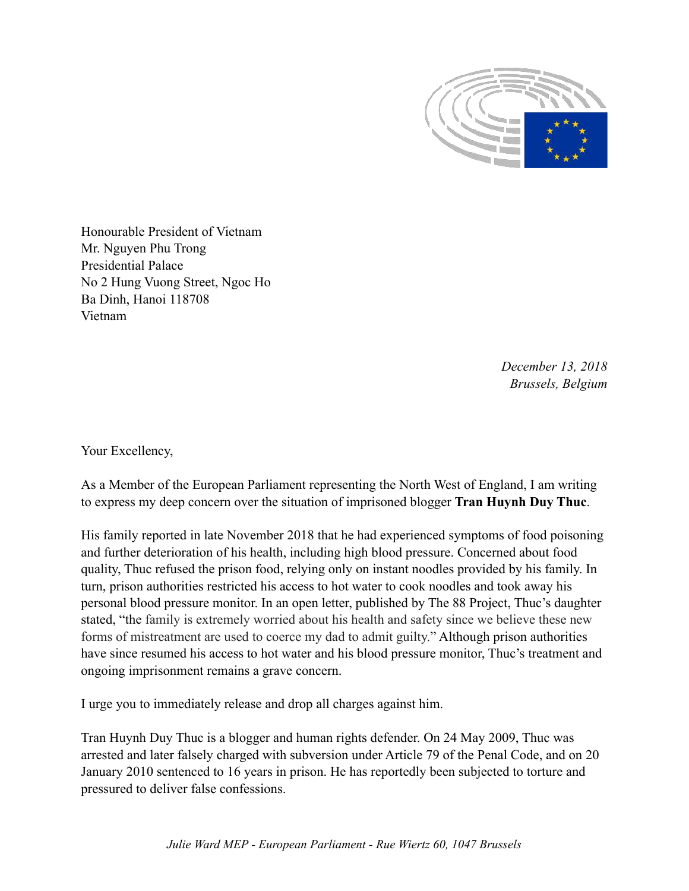

Honourable President of Vietnam Mr. Nguyen Phu Trong Presidential Palace No 2 Hung Vuong Street, Ngoc Ho Ba Dinh, Hanoi 118708 Vietnam

> *December 13, 2018 Brussels, Belgium*

Your Excellency,

As a Member of the European Parliament representing the North West of England, I am writing to express my deep concern over the situation of imprisoned blogger **Tran Huynh Duy Thuc**.

His family reported in late November 2018 that he had experienced symptoms of food poisoning and further deterioration of his health, including high blood pressure. Concerned about food quality, Thuc refused the prison food, relying only on instant noodles provided by his family. In turn, prison authorities restricted his access to hot water to cook noodles and took away his personal blood pressure monitor. In an open letter, published by The 88 Project, Thuc's daughter stated, "the family is extremely worried about his health and safety since we believe these new forms of mistreatment are used to coerce my dad to admit guilty." Although prison authorities have since resumed his access to hot water and his blood pressure monitor, Thuc's treatment and ongoing imprisonment remains a grave concern.

I urge you to immediately release and drop all charges against him.

Tran Huynh Duy Thuc is a blogger and human rights defender. On 24 May 2009, Thuc was arrested and later falsely charged with subversion under Article 79 of the Penal Code, and on 20 January 2010 sentenced to 16 years in prison. He has reportedly been subjected to torture and pressured to deliver false confessions.